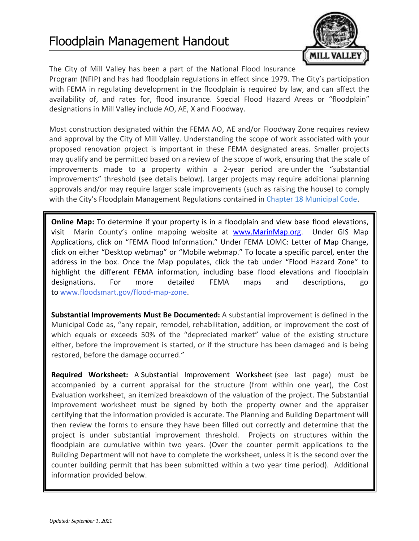

The City of Mill Valley has been a part of the National Flood Insurance Program (NFIP) and has had floodplain regulations in effect since 1979. The City's participation with FEMA in regulating development in the floodplain is required by law, and can affect the availability of, and rates for, flood insurance. Special Flood Hazard Areas or "floodplain" designations in Mill Valley include AO, AE, X and Floodway.

Most construction designated within the FEMA AO, AE and/or Floodway Zone requires review and approval by the City of Mill Valley. Understanding the scope of work associated with your proposed renovation project is important in these FEMA designated areas. Smaller projects may qualify and be permitted based on a review of the scope of work, ensuring that the scale of improvements made to a property within a 2-year period are under the "substantial improvements" threshold (see details below). Larger projects may require additional planning approvals and/or may require larger scale improvements (such as raising the house) to comply with the City's Floodplain Management Regulations contained in [Chapter 18 Municipal Code.](http://qcode.us/codes/millvalley/)

**Online Map:** To determine if your property is in a floodplain and view base flood elevations, visit Marin County's online mapping website at [www.MarinMap.org.](http://www.marinmap.org/) Under GIS Map Applications, click on "FEMA Flood Information." Under FEMA LOMC: Letter of Map Change, click on either "Desktop webmap" or "Mobile webmap." To locate a specific parcel, enter the address in the box. Once the Map populates, click the tab under "Flood Hazard Zone" to highlight the different FEMA information, including base flood elevations and floodplain designations. For more detailed FEMA maps and descriptions, go to [www.floodsmart.gov/flood-map-zone.](http://www.floodsmart.gov/flood-map-zone)

**Substantial Improvements Must Be Documented:** A substantial improvement is defined in the Municipal Code as, "any repair, remodel, rehabilitation, addition, or improvement the cost of which equals or exceeds 50% of the "depreciated market" value of the existing structure either, before the improvement is started, or if the structure has been damaged and is being restored, before the damage occurred."

**Required Worksheet:** A Substantial Improvement Worksheet (see last page) must be accompanied by a current appraisal for the structure (from within one year), the Cost Evaluation worksheet, an itemized breakdown of the valuation of the project. The Substantial Improvement worksheet must be signed by both the property owner and the appraiser certifying that the information provided is accurate. The Planning and Building Department will then review the forms to ensure they have been filled out correctly and determine that the project is under substantial improvement threshold. Projects on structures within the floodplain are cumulative within two years. (Over the counter permit applications to the Building Department will not have to complete the worksheet, unless it is the second over the counter building permit that has been submitted within a two year time period). Additional information provided below.

**Additional Details on Development Regulations:** See [Chapter 18 Municipal Code](http://qcode.us/codes/millvalley/)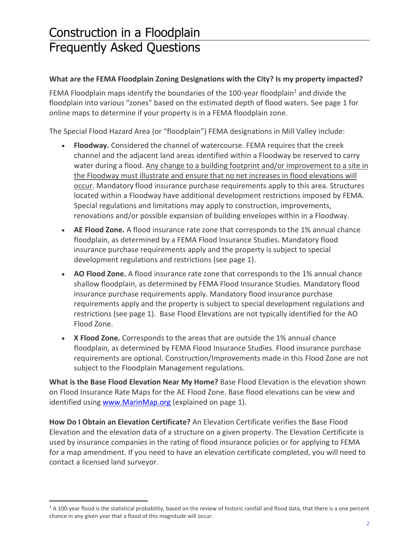## Construction in a Floodplain Frequently Asked Questions

## **What are the FEMA Floodplain Zoning Designations with the City? Is my property impacted?**

FEMA Floodplain maps identify the boundaries of the 100-year floodplain<sup>1</sup> and divide the floodplain into various "zones" based on the estimated depth of flood waters. See page 1 for online maps to determine if your property is in a FEMA floodplain zone.

The Special Flood Hazard Area (or "floodplain") FEMA designations in Mill Valley include:

- **Floodway.** Considered the channel of watercourse. FEMA requires that the creek channel and the adjacent land areas identified within a Floodway be reserved to carry water during a flood. Any change to a building footprint and/or improvement to a site in the Floodway must illustrate and ensure that no net increases in flood elevations will occur. Mandatory flood insurance purchase requirements apply to this area. Structures located within a Floodway have additional development restrictions imposed by FEMA. Special regulations and limitations may apply to construction, improvements, renovations and/or possible expansion of building envelopes within in a Floodway.
- **AE Flood Zone.** A flood insurance rate zone that corresponds to the 1% annual chance floodplain, as determined by a FEMA Flood Insurance Studies. Mandatory flood insurance purchase requirements apply and the property is subject to special development regulations and restrictions (see page 1).
- **AO Flood Zone.** A flood insurance rate zone that corresponds to the 1% annual chance shallow floodplain, as determined by FEMA Flood Insurance Studies. Mandatory flood insurance purchase requirements apply. Mandatory flood insurance purchase requirements apply and the property is subject to special development regulations and restrictions (see page 1). Base Flood Elevations are not typically identified for the AO Flood Zone.
- **X Flood Zone.** Corresponds to the areas that are outside the 1% annual chance floodplain, as determined by FEMA Flood Insurance Studies. Flood insurance purchase requirements are optional. Construction/Improvements made in this Flood Zone are not subject to the Floodplain Management regulations.

**What is the Base Flood Elevation Near My Home?** Base Flood Elevation is the elevation shown on Flood Insurance Rate Maps for the AE Flood Zone. Base flood elevations can be view and identified using [www.MarinMap.org](http://www.marinmap.org/) (explained on page 1).

**How Do I Obtain an Elevation Certificate?** An Elevation Certificate verifies the Base Flood Elevation and the elevation data of a structure on a given property. The Elevation Certificate is used by insurance companies in the rating of flood insurance policies or for applying to FEMA for a map amendment. If you need to have an elevation certificate completed, you will need to contact a licensed land surveyor.

<sup>&</sup>lt;sup>1</sup> A 100-year flood is the statistical probability, based on the review of historic rainfall and flood data, that there is a one percent chance in any given year that a flood of this magnitude will occur.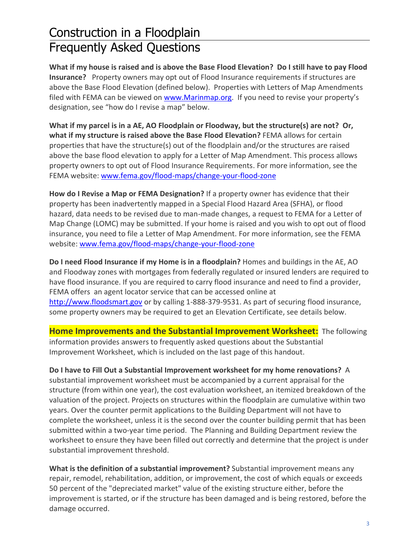## Construction in a Floodplain Frequently Asked Questions

**What if my house is raised and is above the Base Flood Elevation? Do I still have to pay Flood Insurance?** Property owners may opt out of Flood Insurance requirements if structures are above the Base Flood Elevation (defined below). Properties with Letters of Map Amendments filed with FEMA can be viewed o[n www.Marinmap.org.](http://www.marinmap.org/) If you need to revise your property's designation, see "how do I revise a map" below.

**What if my parcel is in a AE, AO Floodplain or Floodway, but the structure(s) are not? Or, what if my structure is raised above the Base Flood Elevation?** FEMA allows for certain properties that have the structure(s) out of the floodplain and/or the structures are raised above the base flood elevation to apply for a Letter of Map Amendment. This process allows property owners to opt out of Flood Insurance Requirements. For more information, see the FEMA website: [www.fema.gov/flood-maps/change-your-flood-zone](http://www.fema.gov/flood-maps/change-your-flood-zone)

**How do I Revise a Map or FEMA Designation?** If a property owner has evidence that their property has been inadvertently mapped in a Special Flood Hazard Area (SFHA), or flood hazard, data needs to be revised due to man-made changes, a request to FEMA for a Letter of Map Change (LOMC) may be submitted. If your home is raised and you wish to opt out of flood insurance, you need to file a Letter of Map Amendment. For more information, see the FEMA website: [www.fema.gov/flood-maps/change-your-flood-zone](http://www.fema.gov/flood-maps/change-your-flood-zone)

**Do I need Flood Insurance if my Home is in a floodplain?** Homes and buildings in the AE, AO and Floodway zones with mortgages from federally regulated or insured lenders are required to have flood insurance. If you are required to carry flood insurance and need to find a provider, FEMA offers an agent locator service that can be accessed online at [http://www.floodsmart.gov](http://www.floodsmart.gov/) or by calling 1-888-379-9531. As part of securing flood insurance, some property owners may be required to get an Elevation Certificate, see details below.

**Home Improvements and the Substantial Improvement Worksheet:** The following information provides answers to frequently asked questions about the Substantial Improvement Worksheet, which is included on the last page of this handout.

**Do I have to Fill Out a Substantial Improvement worksheet for my home renovations?** A substantial improvement worksheet must be accompanied by a current appraisal for the structure (from within one year), the cost evaluation worksheet, an itemized breakdown of the valuation of the project. Projects on structures within the floodplain are cumulative within two years. Over the counter permit applications to the Building Department will not have to complete the worksheet, unless it is the second over the counter building permit that has been submitted within a two-year time period. The Planning and Building Department review the worksheet to ensure they have been filled out correctly and determine that the project is under substantial improvement threshold.

**What is the definition of a substantial improvement?** Substantial improvement means any repair, remodel, rehabilitation, addition, or improvement, the cost of which equals or exceeds 50 percent of the "depreciated market" value of the existing structure either, before the improvement is started, or if the structure has been damaged and is being restored, before the damage occurred.